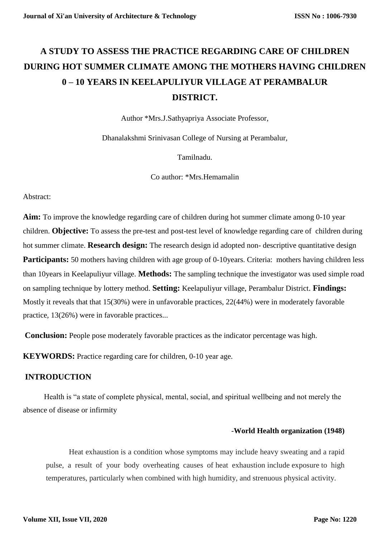# **A STUDY TO ASSESS THE PRACTICE REGARDING CARE OF CHILDREN DURING HOT SUMMER CLIMATE AMONG THE MOTHERS HAVING CHILDREN 0 – 10 YEARS IN KEELAPULIYUR VILLAGE AT PERAMBALUR DISTRICT.**

Author \*Mrs.J.Sathyapriya Associate Professor,

Dhanalakshmi Srinivasan College of Nursing at Perambalur,

Tamilnadu.

Co author: \*Mrs.Hemamalin

Abstract:

**Aim:** To improve the knowledge regarding care of children during hot summer climate among 0-10 year children. **Objective:** To assess the pre-test and post-test level of knowledge regarding care of children during hot summer climate. **Research design:** The research design id adopted non- descriptive quantitative design **Participants:** 50 mothers having children with age group of 0-10years. Criteria: mothers having children less than 10years in Keelapuliyur village. **Methods:** The sampling technique the investigator was used simple road on sampling technique by lottery method. **Setting:** Keelapuliyur village, Perambalur District. **Findings:** Mostly it reveals that that 15(30%) were in unfavorable practices, 22(44%) were in moderately favorable practice, 13(26%) were in favorable practices...

**Conclusion:** People pose moderately favorable practices as the indicator percentage was high.

**KEYWORDS:** Practice regarding care for children, 0-10 year age.

### **INTRODUCTION**

 Health is "a state of complete physical, mental, social, and spiritual wellbeing and not merely the absence of disease or infirmity

#### -**World Health organization (1948)**

Heat exhaustion is a condition whose symptoms may include heavy sweating and a rapid pulse, a result of your body overheating causes of heat exhaustion include exposure to high temperatures, particularly when combined with high humidity, and strenuous physical activity.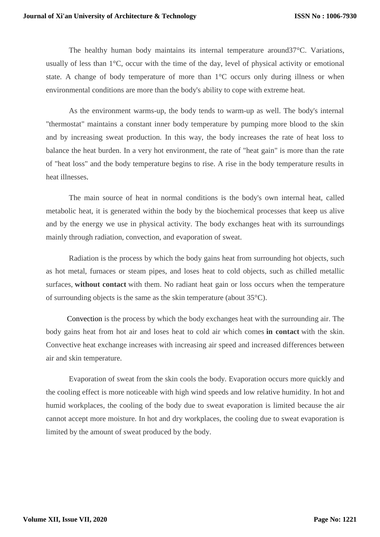The healthy human body maintains its internal temperature around37°C. Variations, usually of less than 1°C, occur with the time of the day, level of physical activity or emotional state. A change of body temperature of more than 1°C occurs only during illness or when environmental conditions are more than the body's ability to cope with extreme heat.

As the environment warms-up, the body tends to warm-up as well. The body's internal "thermostat" maintains a constant inner body temperature by pumping more blood to the skin and by increasing sweat production. In this way, the body increases the rate of heat loss to balance the heat burden. In a very hot environment, the rate of "heat gain" is more than the rate of "heat loss" and the body temperature begins to rise. A rise in the body temperature results in heat illnesses.

The main source of heat in normal conditions is the body's own internal heat, called metabolic heat, it is generated within the body by the biochemical processes that keep us alive and by the energy we use in physical activity. The body exchanges heat with its surroundings mainly through radiation, convection, and evaporation of sweat.

Radiation is the process by which the body gains heat from surrounding hot objects, such as hot metal, furnaces or steam pipes, and loses heat to cold objects, such as chilled metallic surfaces, **without contact** with them. No radiant heat gain or loss occurs when the temperature of surrounding objects is the same as the skin temperature (about 35°C).

 Convection is the process by which the body exchanges heat with the surrounding air. The body gains heat from hot air and loses heat to cold air which comes **in contact** with the skin. Convective heat exchange increases with increasing air speed and increased differences between air and skin temperature.

Evaporation of sweat from the skin cools the body. Evaporation occurs more quickly and the cooling effect is more noticeable with high wind speeds and low relative humidity. In hot and humid workplaces, the cooling of the body due to sweat evaporation is limited because the air cannot accept more moisture. In hot and dry workplaces, the cooling due to sweat evaporation is limited by the amount of sweat produced by the body.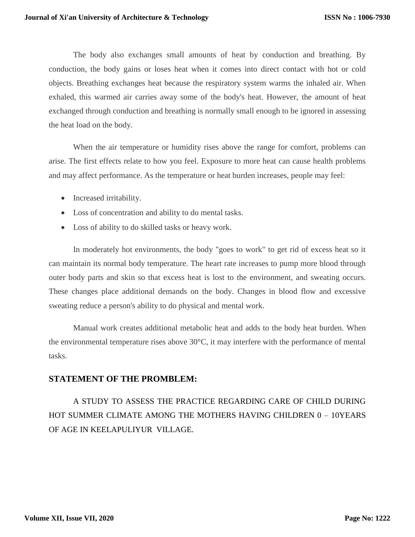The body also exchanges small amounts of heat by conduction and breathing. By conduction, the body gains or loses heat when it comes into direct contact with hot or cold objects. Breathing exchanges heat because the respiratory system warms the inhaled air. When exhaled, this warmed air carries away some of the body's heat. However, the amount of heat exchanged through conduction and breathing is normally small enough to be ignored in assessing the heat load on the body.

When the air temperature or humidity rises above the range for comfort, problems can arise. The first effects relate to how you feel. Exposure to more heat can cause health problems and may affect performance. As the temperature or heat burden increases, people may feel:

- Increased irritability.
- Loss of concentration and ability to do mental tasks.
- Loss of ability to do skilled tasks or heavy work.

In moderately hot environments, the body "goes to work" to get rid of excess heat so it can maintain its normal body temperature. The heart rate increases to pump more blood through outer body parts and skin so that excess heat is lost to the environment, and sweating occurs. These changes place additional demands on the body. Changes in blood flow and excessive sweating reduce a person's ability to do physical and mental work.

Manual work creates additional metabolic heat and adds to the body heat burden. When the environmental temperature rises above 30°C, it may interfere with the performance of mental tasks.

#### **STATEMENT OF THE PROMBLEM:**

A STUDY TO ASSESS THE PRACTICE REGARDING CARE OF CHILD DURING HOT SUMMER CLIMATE AMONG THE MOTHERS HAVING CHILDREN 0 – 10YEARS OF AGE IN KEELAPULIYUR VILLAGE.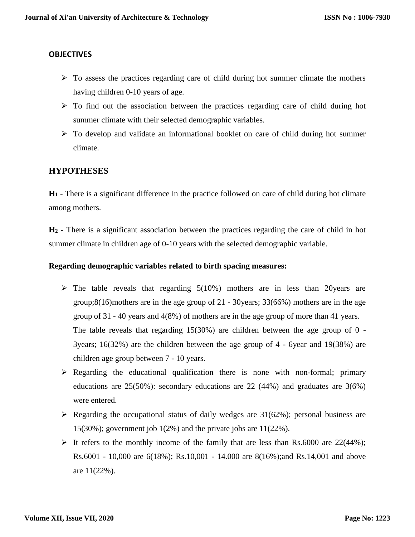#### **OBJECTIVES**

- $\triangleright$  To assess the practices regarding care of child during hot summer climate the mothers having children 0-10 years of age.
- $\triangleright$  To find out the association between the practices regarding care of child during hot summer climate with their selected demographic variables.
- To develop and validate an informational booklet on care of child during hot summer climate.

## **HYPOTHESES**

**H<sup>1</sup>** - There is a significant difference in the practice followed on care of child during hot climate among mothers.

**H<sup>2</sup>** - There is a significant association between the practices regarding the care of child in hot summer climate in children age of 0-10 years with the selected demographic variable.

#### **Regarding demographic variables related to birth spacing measures:**

- $\triangleright$  The table reveals that regarding 5(10%) mothers are in less than 20 years are group;8(16)mothers are in the age group of 21 - 30years; 33(66%) mothers are in the age group of 31 - 40 years and 4(8%) of mothers are in the age group of more than 41 years. The table reveals that regarding  $15(30%)$  are children between the age group of 0 -3years; 16(32%) are the children between the age group of 4 - 6year and 19(38%) are children age group between 7 - 10 years.
- $\triangleright$  Regarding the educational qualification there is none with non-formal; primary educations are 25(50%): secondary educations are 22 (44%) and graduates are 3(6%) were entered.
- $\triangleright$  Regarding the occupational status of daily wedges are 31(62%); personal business are 15(30%); government job 1(2%) and the private jobs are 11(22%).
- It refers to the monthly income of the family that are less than Rs.6000 are  $22(44%)$ ; Rs.6001 - 10,000 are 6(18%); Rs.10,001 - 14.000 are 8(16%);and Rs.14,001 and above are 11(22%).